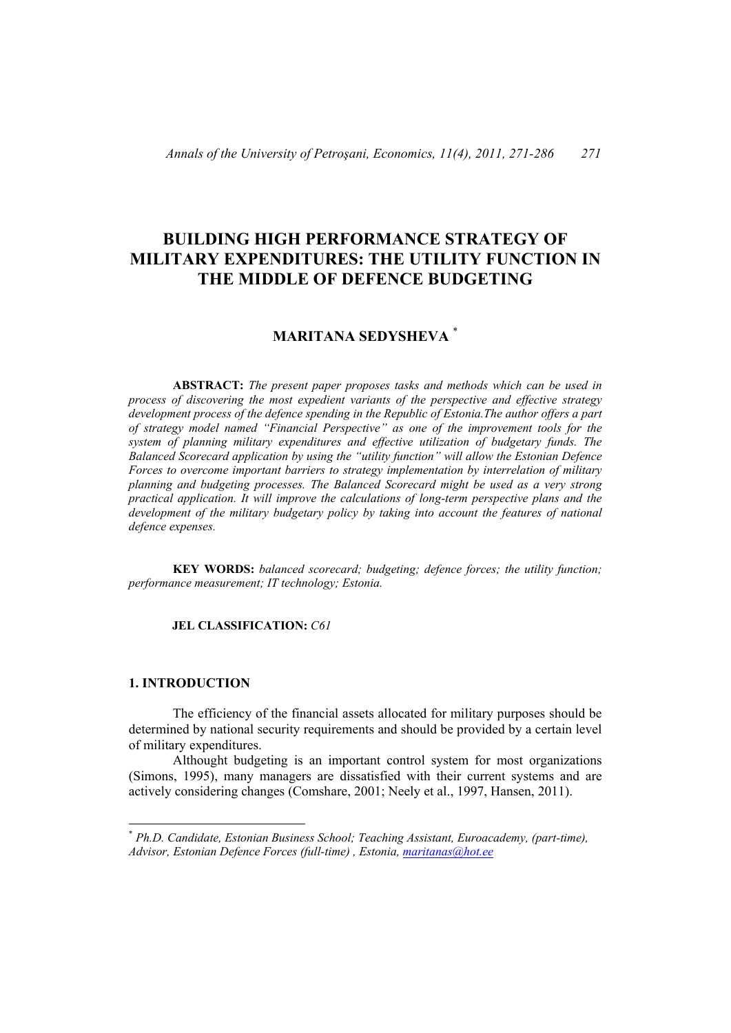# **BUILDING HIGH PERFORMANCE STRATEGY OF MILITARY EXPENDITURES: THE UTILITY FUNCTION IN THE MIDDLE OF DEFENCE BUDGETING**

# **MARITANA SEDYSHEVA** \*

**ABSTRACT:** *The present paper proposes tasks and methods which can be used in process of discovering the most expedient variants of the perspective and effective strategy development process of the defence spending in the Republic of Estonia.The author offers a part of strategy model named "Financial Perspective" as one of the improvement tools for the system of planning military expenditures and effective utilization of budgetary funds. The Balanced Scorecard application by using the "utility function" will allow the Estonian Defence Forces to overcome important barriers to strategy implementation by interrelation of military planning and budgeting processes. The Balanced Scorecard might be used as a very strong practical application. It will improve the calculations of long-term perspective plans and the development of the military budgetary policy by taking into account the features of national defence expenses.* 

**KEY WORDS:** *balanced scorecard; budgeting; defence forces; the utility function; performance measurement; IT technology; Estonia.* 

## **JEL CLASSIFICATION:** *C61*

### **1. INTRODUCTION**

 $\overline{a}$ 

The efficiency of the financial assets allocated for military purposes should be determined by national security requirements and should be provided by a certain level of military expenditures.

Althought budgeting is an important control system for most organizations (Simons, 1995), many managers are dissatisfied with their current systems and are actively considering changes (Comshare, 2001; Neely et al., 1997, Hansen, 2011).

<sup>\*</sup> *Ph.D. Candidate, Estonian Business School; Teaching Assistant, Euroacademy, (part-time), Advisor, Estonian Defence Forces (full-time) , Estonia, maritanas@hot.ee*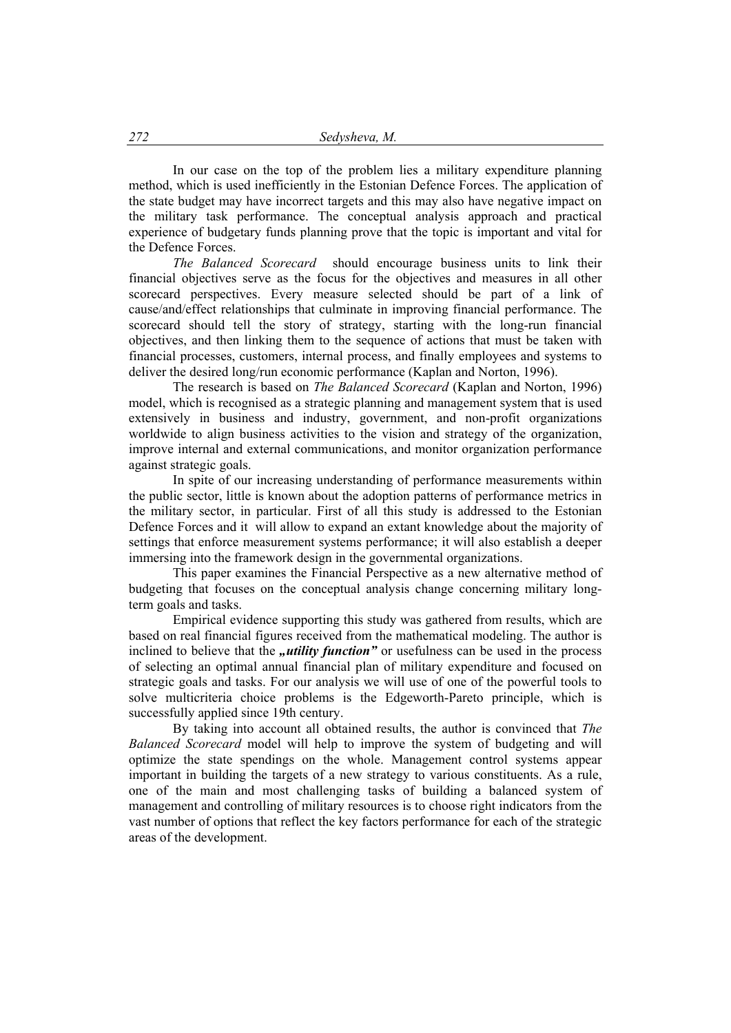In our case on the top of the problem lies a military expenditure planning method, which is used inefficiently in the Estonian Defence Forces. The application of the state budget may have incorrect targets and this may also have negative impact on the military task performance. The conceptual analysis approach and practical experience of budgetary funds planning prove that the topic is important and vital for the Defence Forces.

*The Balanced Scorecard* should encourage business units to link their financial objectives serve as the focus for the objectives and measures in all other scorecard perspectives. Every measure selected should be part of a link of cause/and/effect relationships that culminate in improving financial performance. The scorecard should tell the story of strategy, starting with the long-run financial objectives, and then linking them to the sequence of actions that must be taken with financial processes, customers, internal process, and finally employees and systems to deliver the desired long/run economic performance (Kaplan and Norton, 1996).

The research is based on *The Balanced Scorecard* (Kaplan and Norton, 1996) model, which is recognised as a strategic planning and management system that is used extensively in business and industry, government, and non-profit organizations worldwide to align business activities to the vision and strategy of the organization, improve internal and external communications, and monitor organization performance against strategic goals.

In spite of our increasing understanding of performance measurements within the public sector, little is known about the adoption patterns of performance metrics in the military sector, in particular. First of all this study is addressed to the Estonian Defence Forces and it will allow to expand an extant knowledge about the majority of settings that enforce measurement systems performance; it will also establish a deeper immersing into the framework design in the governmental organizations.

This paper examines the Financial Perspective as a new alternative method of budgeting that focuses on the conceptual analysis change concerning military longterm goals and tasks.

Empirical evidence supporting this study was gathered from results, which are based on real financial figures received from the mathematical modeling. The author is inclined to believe that the *"utility function*" or usefulness can be used in the process of selecting an optimal annual financial plan of military expenditure and focused on strategic goals and tasks. For our analysis we will use of one of the powerful tools to solve multicriteria choice problems is the Edgeworth-Pareto principle, which is successfully applied since 19th century.

By taking into account all obtained results, the author is convinced that *The Balanced Scorecard* model will help to improve the system of budgeting and will optimize the state spendings on the whole. Management control systems appear important in building the targets of a new strategy to various constituents. As a rule, one of the main and most challenging tasks of building a balanced system of management and controlling of military resources is to choose right indicators from the vast number of options that reflect the key factors performance for each of the strategic areas of the development.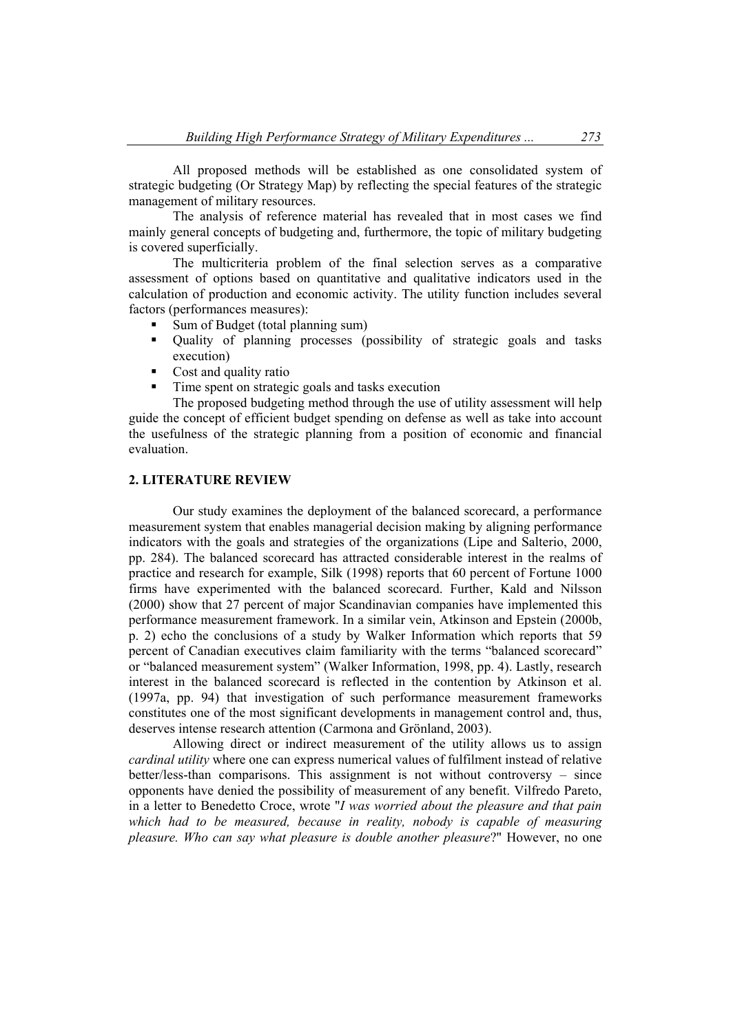All proposed methods will be established as one consolidated system of strategic budgeting (Or Strategy Map) by reflecting the special features of the strategic management of military resources.

The analysis of reference material has revealed that in most cases we find mainly general concepts of budgeting and, furthermore, the topic of military budgeting is covered superficially.

The multicriteria problem of the final selection serves as a comparative assessment of options based on quantitative and qualitative indicators used in the calculation of production and economic activity. The utility function includes several factors (performances measures):

- Sum of Budget (total planning sum)
- Quality of planning processes (possibility of strategic goals and tasks execution)
- $\blacksquare$  Cost and quality ratio
- Time spent on strategic goals and tasks execution

The proposed budgeting method through the use of utility assessment will help guide the concept of efficient budget spending on defense as well as take into account the usefulness of the strategic planning from a position of economic and financial evaluation.

### **2. LITERATURE REVIEW**

Our study examines the deployment of the balanced scorecard, a performance measurement system that enables managerial decision making by aligning performance indicators with the goals and strategies of the organizations (Lipe and Salterio, 2000, pp. 284). The balanced scorecard has attracted considerable interest in the realms of practice and research for example, Silk (1998) reports that 60 percent of Fortune 1000 firms have experimented with the balanced scorecard. Further, Kald and Nilsson (2000) show that 27 percent of major Scandinavian companies have implemented this performance measurement framework. In a similar vein, Atkinson and Epstein (2000b, p. 2) echo the conclusions of a study by Walker Information which reports that 59 percent of Canadian executives claim familiarity with the terms "balanced scorecard" or "balanced measurement system" (Walker Information, 1998, pp. 4). Lastly, research interest in the balanced scorecard is reflected in the contention by Atkinson et al. (1997a, pp. 94) that investigation of such performance measurement frameworks constitutes one of the most significant developments in management control and, thus, deserves intense research attention (Carmona and Grönland, 2003).

Allowing direct or indirect measurement of the utility allows us to assign *cardinal utility* where one can express numerical values of fulfilment instead of relative better/less-than comparisons. This assignment is not without controversy – since opponents have denied the possibility of measurement of any benefit. Vilfredo Pareto, in a letter to Benedetto Croce, wrote "*I was worried about the pleasure and that pain which had to be measured, because in reality, nobody is capable of measuring pleasure. Who can say what pleasure is double another pleasure*?" However, no one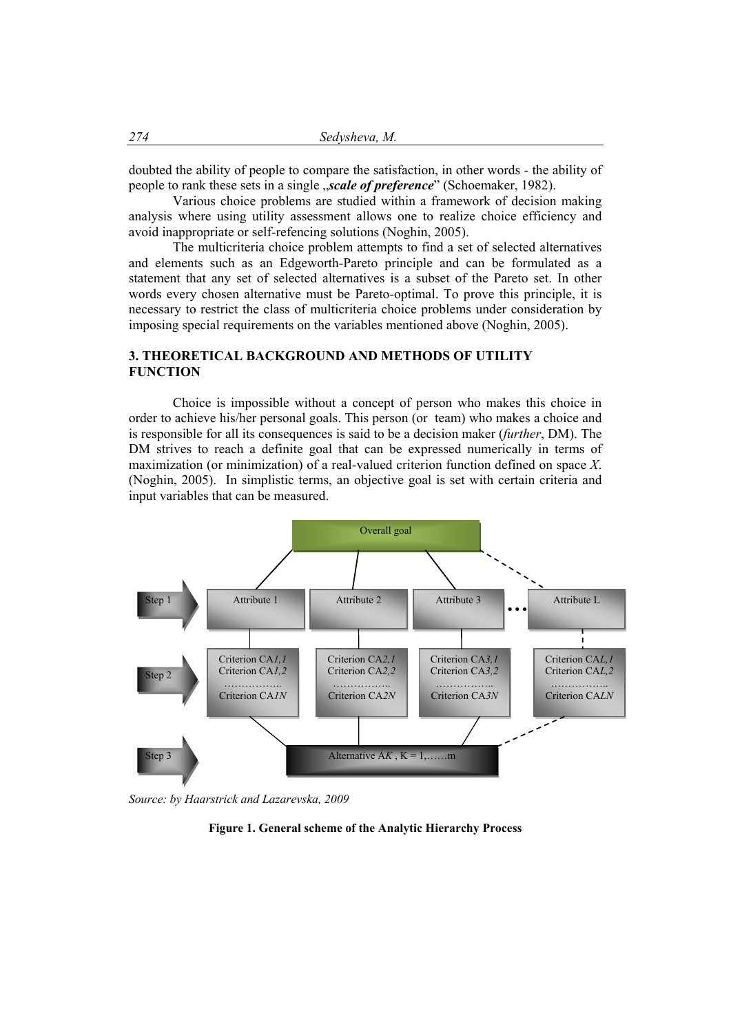doubted the ability of people to compare the satisfaction, in other words - the ability of people to rank these sets in a single "*scale of preference*" (Schoemaker, 1982).

Various choice problems are studied within a framework of decision making analysis where using utility assessment allows one to realize choice efficiency and avoid inappropriate or self-refencing solutions (Noghin, 2005).

The multicriteria choice problem attempts to find a set of selected alternatives and elements such as an Edgeworth-Pareto principle and can be formulated as a statement that any set of selected alternatives is a subset of the Pareto set. In other words every chosen alternative must be Pareto-optimal. To prove this principle, it is necessary to restrict the class of multicriteria choice problems under consideration by imposing special requirements on the variables mentioned above (Noghin, 2005).

### **3. THEORETICAL BACKGROUND AND METHODS OF UTILITY FUNCTION**

Choice is impossible without a concept of person who makes this choice in order to achieve his/her personal goals. This person (or team) who makes a choice and is responsible for all its consequences is said to be a decision maker (*further*, DM). The DM strives to reach a definite goal that can be expressed numerically in terms of maximization (or minimization) of a real-valued criterion function defined on space *X*. (Noghin, 2005). In simplistic terms, an objective goal is set with certain criteria and input variables that can be measured.



*Source: by Haarstrick and Lazarevska, 2009* 

**Figure 1. General scheme of the Analytic Hierarchy Process**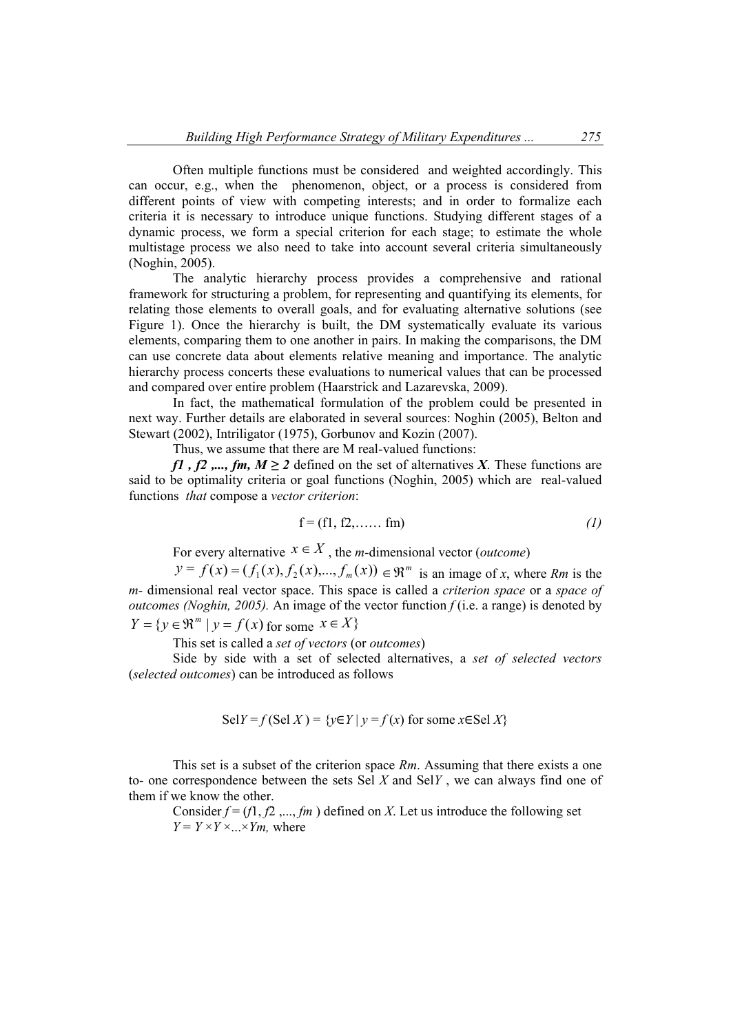Often multiple functions must be considered and weighted accordingly. This can occur, e.g., when the phenomenon, object, or a process is considered from different points of view with competing interests; and in order to formalize each criteria it is necessary to introduce unique functions. Studying different stages of a dynamic process, we form a special criterion for each stage; to estimate the whole multistage process we also need to take into account several criteria simultaneously (Noghin, 2005).

The analytic hierarchy process provides a comprehensive and rational framework for structuring a problem, for representing and quantifying its elements, for relating those elements to overall goals, and for evaluating alternative solutions (see Figure 1). Once the hierarchy is built, the DM systematically evaluate its various elements, comparing them to one another in pairs. In making the comparisons, the DM can use concrete data about elements relative meaning and importance. The analytic hierarchy process concerts these evaluations to numerical values that can be processed and compared over entire problem (Haarstrick and Lazarevska, 2009).

In fact, the mathematical formulation of the problem could be presented in next way. Further details are elaborated in several sources: Noghin (2005), Belton and Stewart (2002), Intriligator (1975), Gorbunov and Kozin (2007).

Thus, we assume that there are M real-valued functions:

*f1*, *f2* ,..., *fm*,  $M \ge 2$  defined on the set of alternatives *X*. These functions are said to be optimality criteria or goal functions (Noghin, 2005) which are real-valued functions *that* compose a *vector criterion*:

$$
\mathbf{f} = (\mathbf{f1}, \mathbf{f2}, \dots, \mathbf{fm}) \tag{1}
$$

For every alternative  $x \in X$ , the *m*-dimensional vector (*outcome*)

 $y = f(x) = (f_1(x), f_2(x), \dots, f_m(x)) \in \mathbb{R}^m$  is an image of *x*, where *Rm* is the *m-* dimensional real vector space. This space is called a *criterion space* or a *space of outcomes (Noghin, 2005).* An image of the vector function *f* (i.e. a range) is denoted by  $Y = \{y \in \mathbb{R}^m \mid y = f(x) \text{ for some } x \in X\}$ 

This set is called a *set of vectors* (or *outcomes*)

Side by side with a set of selected alternatives, a *set of selected vectors*  (*selected outcomes*) can be introduced as follows

$$
SelY = f (Sel X) = \{ y \in Y \mid y = f(x) \text{ for some } x \in Sel X \}
$$

This set is a subset of the criterion space *Rm*. Assuming that there exists a one to- one correspondence between the sets Sel *X* and Sel*Y* , we can always find one of them if we know the other.

Consider  $f = (f_1, f_2, \ldots, f_m)$  defined on *X*. Let us introduce the following set  $Y = Y \times Y \times ... \times Y$ *m*, where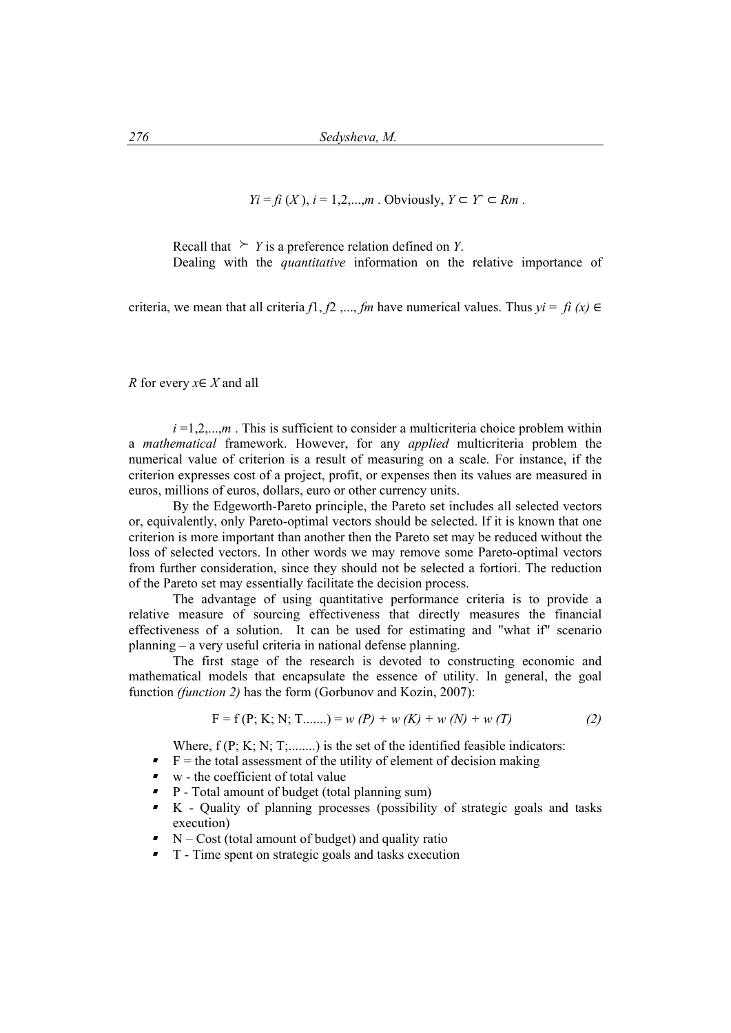$Y_i = f_i(X)$ ,  $i = 1, 2, \ldots, m$ . Obviously,  $Y \subset Y \subset Rm$ .

Recall that  $\geq Y$  is a preference relation defined on *Y*. Dealing with the *quantitative* information on the relative importance of

criteria, we mean that all criteria  $f_1, f_2, ..., f_m$  have numerical values. Thus  $yi = fi(x) \in$ 

*R* for every  $x \in X$  and all

 $i = 1, 2, \dots, m$ . This is sufficient to consider a multicriteria choice problem within a *mathematical* framework. However, for any *applied* multicriteria problem the numerical value of criterion is a result of measuring on a scale. For instance, if the criterion expresses cost of a project, profit, or expenses then its values are measured in euros, millions of euros, dollars, euro or other currency units.

By the Edgeworth-Pareto principle, the Pareto set includes all selected vectors or, equivalently, only Pareto-optimal vectors should be selected. If it is known that one criterion is more important than another then the Pareto set may be reduced without the loss of selected vectors. In other words we may remove some Pareto-optimal vectors from further consideration, since they should not be selected a fortiori. The reduction of the Pareto set may essentially facilitate the decision process.

The advantage of using quantitative performance criteria is to provide a relative measure of sourcing effectiveness that directly measures the financial effectiveness of a solution. It can be used for estimating and "what if" scenario planning – a very useful criteria in national defense planning.

The first stage of the research is devoted to constructing economic and mathematical models that encapsulate the essence of utility. In general, the goal function *(function 2)* has the form (Gorbunov and Kozin, 2007):

$$
F = f(P; K; N; T......) = w (P) + w (K) + w (N) + w (T)
$$
\n(2)

Where,  $f(P; K; N; T; \dots)$  is the set of the identified feasible indicators:

- $\blacktriangleright$  F = the total assessment of the utility of element of decision making
- $\bullet$  w the coefficient of total value
- P Total amount of budget (total planning sum)
- K Quality of planning processes (possibility of strategic goals and tasks execution)
- $\blacksquare$  N Cost (total amount of budget) and quality ratio
- T Time spent on strategic goals and tasks execution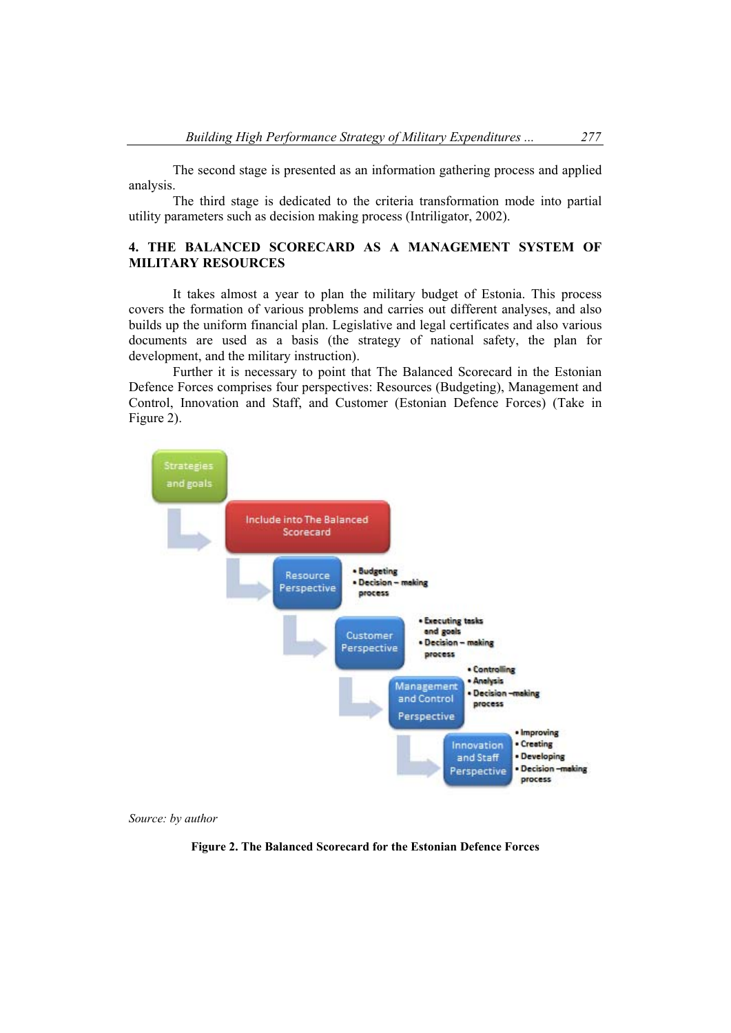The second stage is presented as an information gathering process and applied analysis.

The third stage is dedicated to the criteria transformation mode into partial utility parameters such as decision making process (Intriligator, 2002).

## **4. THE BALANCED SCORECARD AS A MANAGEMENT SYSTEM OF MILITARY RESOURCES**

It takes almost a year to plan the military budget of Estonia. This process covers the formation of various problems and carries out different analyses, and also builds up the uniform financial plan. Legislative and legal certificates and also various documents are used as a basis (the strategy of national safety, the plan for development, and the military instruction).

Further it is necessary to point that The Balanced Scorecard in the Estonian Defence Forces comprises four perspectives: Resources (Budgeting), Management and Control, Innovation and Staff, and Customer (Estonian Defence Forces) (Take in Figure 2).





**Figure 2. The Balanced Scorecard for the Estonian Defence Forces**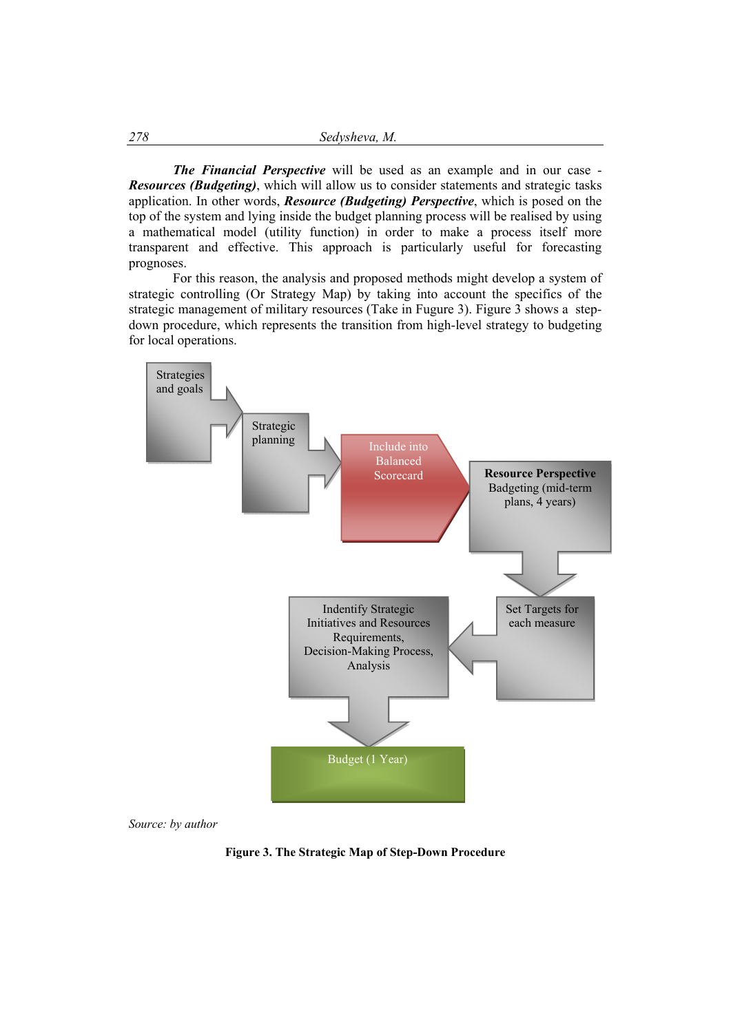*The Financial Perspective* will be used as an example and in our case - *Resources (Budgeting)*, which will allow us to consider statements and strategic tasks application. In other words, *Resource (Budgeting) Perspective*, which is posed on the top of the system and lying inside the budget planning process will be realised by using a mathematical model (utility function) in order to make a process itself more transparent and effective. This approach is particularly useful for forecasting prognoses.

For this reason, the analysis and proposed methods might develop a system of strategic controlling (Or Strategy Map) by taking into account the specifics of the strategic management of military resources (Take in Fugure 3). Figure 3 shows a stepdown procedure, which represents the transition from high-level strategy to budgeting for local operations.



*Source: by author*

**Figure 3. The Strategic Map of Step-Down Procedure**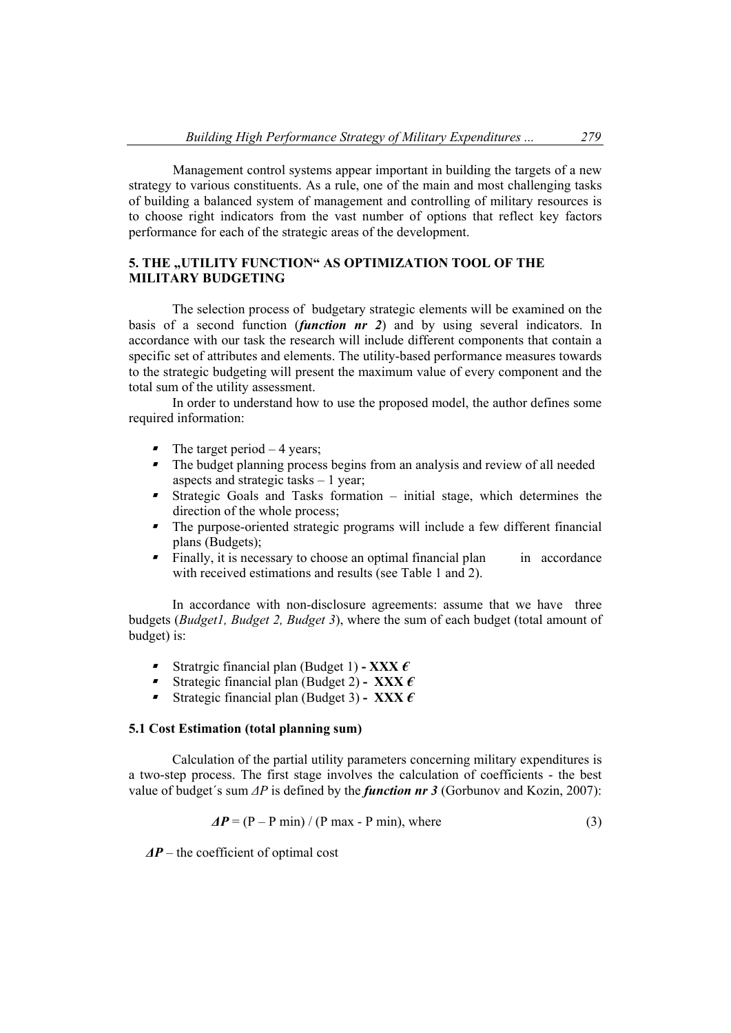Management control systems appear important in building the targets of a new strategy to various constituents. As a rule, one of the main and most challenging tasks of building a balanced system of management and controlling of military resources is to choose right indicators from the vast number of options that reflect key factors performance for each of the strategic areas of the development.

# **5. THE "UTILITY FUNCTION" AS OPTIMIZATION TOOL OF THE MILITARY BUDGETING**

The selection process of budgetary strategic elements will be examined on the basis of a second function (*function nr 2*) and by using several indicators. In accordance with our task the research will include different components that contain a specific set of attributes and elements. The utility-based performance measures towards to the strategic budgeting will present the maximum value of every component and the total sum of the utility assessment.

In order to understand how to use the proposed model, the author defines some required information:

- $\blacksquare$  The target period  $-4$  years;
- The budget planning process begins from an analysis and review of all needed aspects and strategic tasks – 1 year;
- $\blacksquare$  Strategic Goals and Tasks formation – initial stage, which determines the direction of the whole process;
- $\blacksquare$  The purpose-oriented strategic programs will include a few different financial plans (Budgets);
- $\blacksquare$ Finally, it is necessary to choose an optimal financial plan in accordance with received estimations and results (see Table 1 and 2).

In accordance with non-disclosure agreements: assume that we have three budgets (*Budget1, Budget 2, Budget 3*), where the sum of each budget (total amount of budget) is:

- Stratrgic financial plan (Budget 1)  **XXX** *€*
- Strategic financial plan (Budget 2) **XXX** *€*
- Strategic financial plan (Budget 3) **XXX** *€*

### **5.1 Cost Estimation (total planning sum)**

Calculation of the partial utility parameters concerning military expenditures is a two-step process. The first stage involves the calculation of coefficients - the best value of budget´s sum *ΔP* is defined by the *function nr 3* (Gorbunov and Kozin, 2007):

$$
\Delta P = (P - P \min) / (P \max - P \min), \text{ where}
$$
 (3)

*ΔP* – the coefficient of optimal cost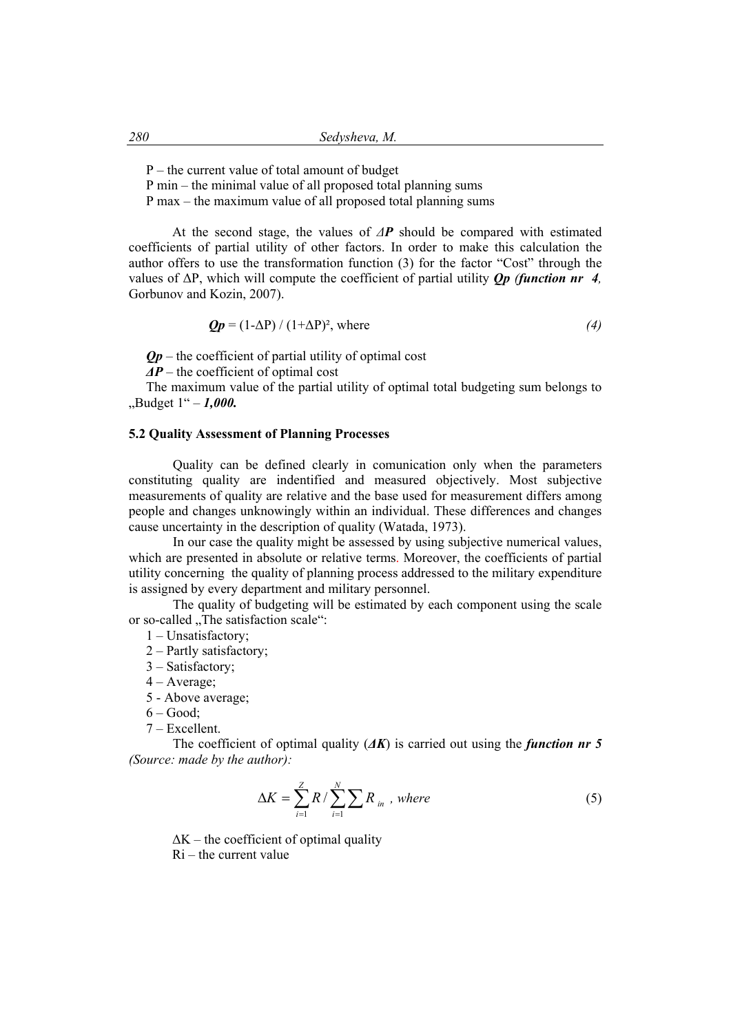P – the current value of total amount of budget

P min – the minimal value of all proposed total planning sums

P max – the maximum value of all proposed total planning sums

At the second stage, the values of *ΔP* should be compared with estimated coefficients of partial utility of other factors. In order to make this calculation the author offers to use the transformation function (3) for the factor "Cost" through the values of ΔP, which will compute the coefficient of partial utility *Qp (function nr 4,*  Gorbunov and Kozin, 2007).

$$
Qp = (1 - \Delta P) / (1 + \Delta P)^2
$$
, where (4)

 $Op$  – the coefficient of partial utility of optimal cost

*ΔP* – the coefficient of optimal cost

The maximum value of the partial utility of optimal total budgeting sum belongs to "Budget 1" – *1,000.* 

#### **5.2 Quality Assessment of Planning Processes**

Quality can be defined clearly in comunication only when the parameters constituting quality are indentified and measured objectively. Most subjective measurements of quality are relative and the base used for measurement differs among people and changes unknowingly within an individual. These differences and changes cause uncertainty in the description of quality (Watada, 1973).

In our case the quality might be assessed by using subjective numerical values, which are presented in absolute or relative terms. Moreover, the coefficients of partial utility concerning the quality of planning process addressed to the military expenditure is assigned by every department and military personnel.

The quality of budgeting will be estimated by each component using the scale or so-called "The satisfaction scale":

1 – Unsatisfactory;

- 2 Partly satisfactory;
- 3 Satisfactory;
- $4 Average$ ;
- 5 Above average;

 $6 - Good$ ;

7 – Excellent.

The coefficient of optimal quality (*ΔK*) is carried out using the *function nr 5 (Source: made by the author):*

$$
\Delta K = \sum_{i=1}^{Z} R / \sum_{i=1}^{N} \sum R_{in} , where \qquad (5)
$$

 $\Delta K$  – the coefficient of optimal quality Ri – the current value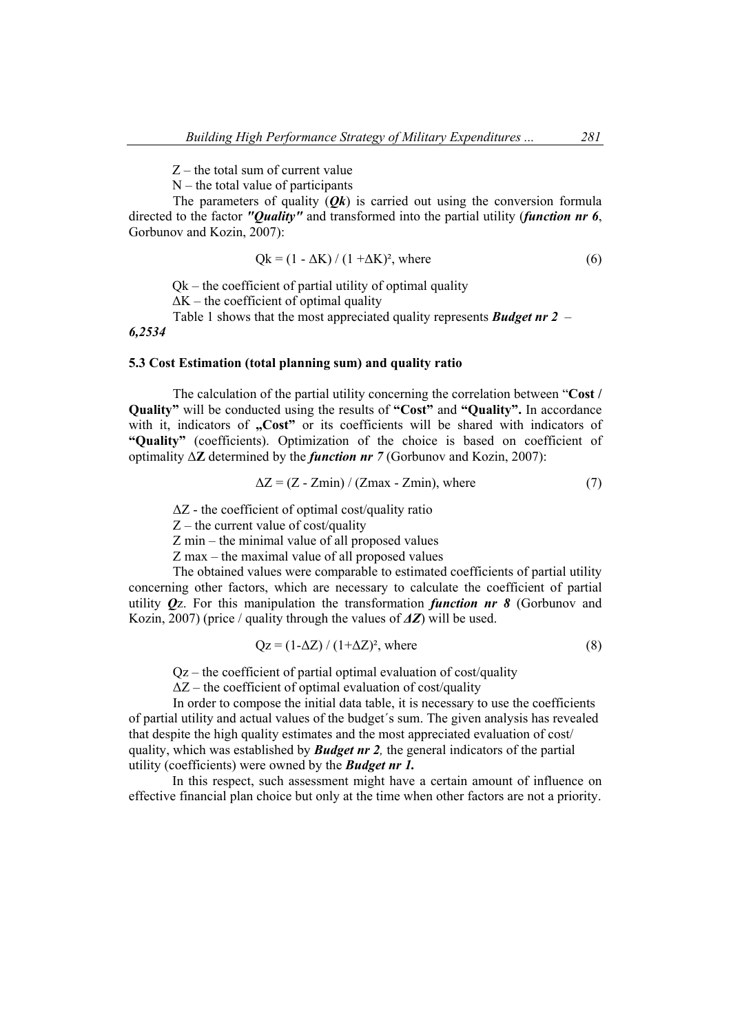Z – the total sum of current value

 $N$  – the total value of participants

The parameters of quality  $(Ok)$  is carried out using the conversion formula directed to the factor *"Quality"* and transformed into the partial utility (*function nr 6*, Gorbunov and Kozin, 2007):

$$
Qk = (1 - \Delta K) / (1 + \Delta K)^2
$$
, where (6)

 $Ok$  – the coefficient of partial utility of optimal quality

 $\Delta K$  – the coefficient of optimal quality

Table 1 shows that the most appreciated quality represents *Budget nr 2* – *6,2534*

#### **5.3 Cost Estimation (total planning sum) and quality ratio**

The calculation of the partial utility concerning the correlation between "**Cost / Quality"** will be conducted using the results of **"Cost"** and **"Quality".** In accordance with it, indicators of **"Cost"** or its coefficients will be shared with indicators of **"Quality"** (coefficients). Optimization of the choice is based on coefficient of optimality Δ**Z** determined by the *function nr 7* (Gorbunov and Kozin, 2007):

$$
\Delta Z = (Z - Zmin) / (Zmax - Zmin), \text{ where}
$$
 (7)

 $\Delta Z$  - the coefficient of optimal cost/quality ratio

 $Z$  – the current value of cost/quality

Z min – the minimal value of all proposed values

Z max – the maximal value of all proposed values

The obtained values were comparable to estimated coefficients of partial utility concerning other factors, which are necessary to calculate the coefficient of partial utility *Q*z. For this manipulation the transformation *function nr 8* (Gorbunov and Kozin, 2007) (price / quality through the values of *ΔZ*) will be used.

$$
Qz = (1 - \Delta Z) / (1 + \Delta Z)^2
$$
, where (8)

 $Qz$  – the coefficient of partial optimal evaluation of cost/quality

 $\Delta Z$  – the coefficient of optimal evaluation of cost/quality

In order to compose the initial data table, it is necessary to use the coefficients of partial utility and actual values of the budget´s sum. The given analysis has revealed that despite the high quality estimates and the most appreciated evaluation of cost/ quality, which was established by *Budget nr 2,* the general indicators of the partial utility (coefficients) were owned by the *Budget nr 1.*

 In this respect, such assessment might have a certain amount of influence on effective financial plan choice but only at the time when other factors are not a priority.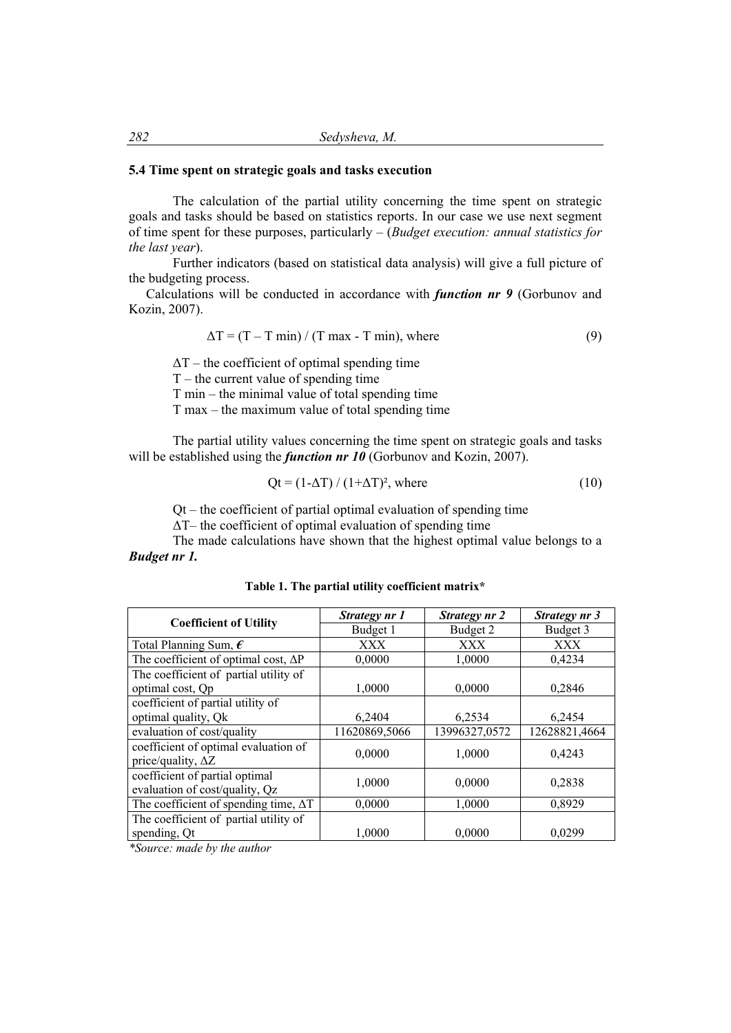### **5.4 Time spent on strategic goals and tasks execution**

The calculation of the partial utility concerning the time spent on strategic goals and tasks should be based on statistics reports. In our case we use next segment of time spent for these purposes, particularly – (*Budget execution: annual statistics for the last year*).

Further indicators (based on statistical data analysis) will give a full picture of the budgeting process.

Calculations will be conducted in accordance with *function nr 9* (Gorbunov and Kozin, 2007).

$$
\Delta T = (T - T \min) / (T \max - T \min), \text{ where}
$$
\n(9)

 $\Delta T$  – the coefficient of optimal spending time  $T$  – the current value of spending time T min – the minimal value of total spending time T max – the maximum value of total spending time

The partial utility values concerning the time spent on strategic goals and tasks will be established using the *function nr 10* (Gorbunov and Kozin, 2007).

$$
Qt = (1 - \Delta T) / (1 + \Delta T)^2, where
$$
\n(10)

Qt – the coefficient of partial optimal evaluation of spending time

ΔT– the coefficient of optimal evaluation of spending time

The made calculations have shown that the highest optimal value belongs to a *Budget nr 1.*

| <b>Coefficient of Utility</b>                                     | Strategy nr 1 | Strategy nr 2 | Strategy nr 3 |
|-------------------------------------------------------------------|---------------|---------------|---------------|
|                                                                   | Budget 1      | Budget 2      | Budget 3      |
| Total Planning Sum, $\epsilon$                                    | XXX           | XXX           | XXX           |
| The coefficient of optimal cost, $\Delta P$                       | 0,0000        | 1,0000        | 0,4234        |
| The coefficient of partial utility of                             |               |               |               |
| optimal cost, Qp                                                  | 1,0000        | 0,0000        | 0,2846        |
| coefficient of partial utility of                                 |               |               |               |
| optimal quality, Qk                                               | 6,2404        | 6,2534        | 6,2454        |
| evaluation of cost/quality                                        | 11620869,5066 | 13996327,0572 | 12628821,4664 |
| coefficient of optimal evaluation of<br>price/quality, $\Delta Z$ | 0,0000        | 1,0000        | 0,4243        |
| coefficient of partial optimal<br>evaluation of cost/quality, Qz  | 1,0000        | 0,0000        | 0,2838        |
| The coefficient of spending time, $\Delta T$                      | 0,0000        | 1,0000        | 0,8929        |
| The coefficient of partial utility of                             |               |               |               |
| spending, Qt                                                      | 1,0000        | 0,0000        | 0,0299        |

**Table 1. The partial utility coefficient matrix\*** 

*\*Source: made by the author*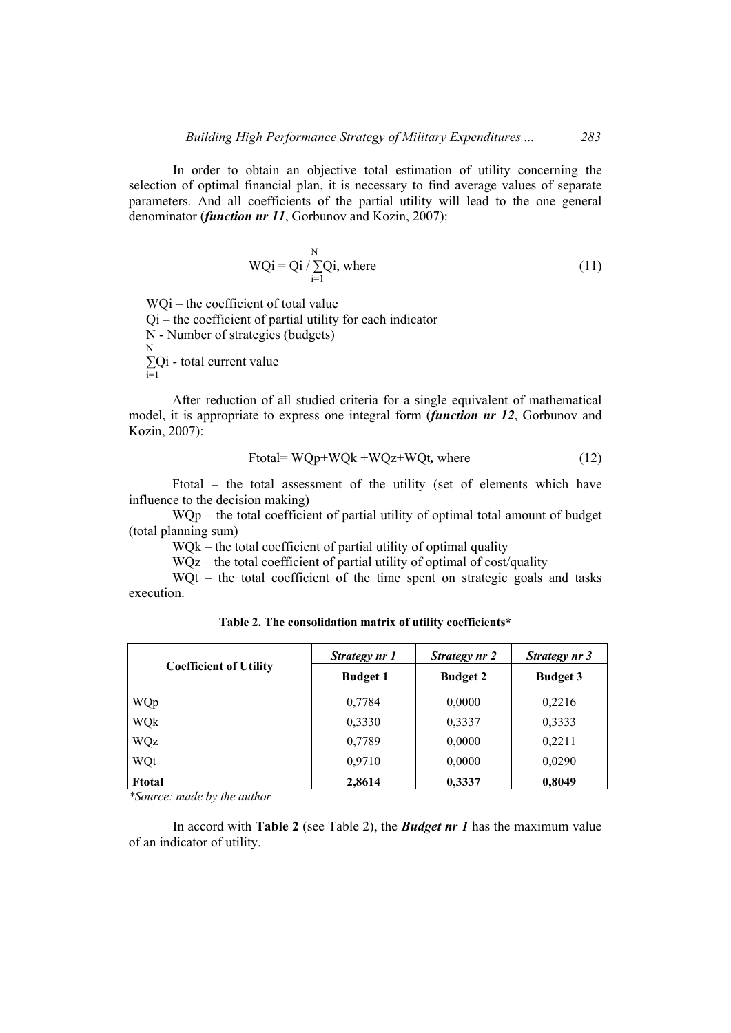In order to obtain an objective total estimation of utility concerning the selection of optimal financial plan, it is necessary to find average values of separate parameters. And all coefficients of the partial utility will lead to the one general denominator (*function nr 11*, Gorbunov and Kozin, 2007):

$$
WQi = Qi / \sum_{i=1}^{N} Qi, where
$$
 (11)

WQi – the coefficient of total value  $Qi$  – the coefficient of partial utility for each indicator N - Number of strategies (budgets) N **∑**Qi - total current value  $\sum_{i=1}$ 

 After reduction of all studied criteria for a single equivalent of mathematical model, it is appropriate to express one integral form (*function nr 12*, Gorbunov and Kozin, 2007):

$$
Ftotal = WQp + WQk + WQz + WQt, where
$$
\n(12)

Ftotal *–* the total assessment of the utility (set of elements which have influence to the decision making)

WQp – the total coefficient of partial utility of optimal total amount of budget (total planning sum)

WQk – the total coefficient of partial utility of optimal quality

WQz – the total coefficient of partial utility of optimal of cost/quality

WQt – the total coefficient of the time spent on strategic goals and tasks execution.

| <b>Coefficient of Utility</b> | Strategy nr 1   | Strategy nr 2   | Strategy nr 3   |
|-------------------------------|-----------------|-----------------|-----------------|
|                               | <b>Budget 1</b> | <b>Budget 2</b> | <b>Budget 3</b> |
| WQp                           | 0,7784          | 0,0000          | 0,2216          |
| WQk                           | 0,3330          | 0,3337          | 0,3333          |
| WQz                           | 0,7789          | 0,0000          | 0,2211          |
| WQt                           | 0,9710          | 0,0000          | 0,0290          |
| <b>Ftotal</b>                 | 2,8614          | 0,3337          | 0,8049          |

**Table 2. The consolidation matrix of utility coefficients\*** 

*\*Source: made by the author* 

In accord with **Table 2** (see Table 2), the *Budget nr 1* has the maximum value of an indicator of utility.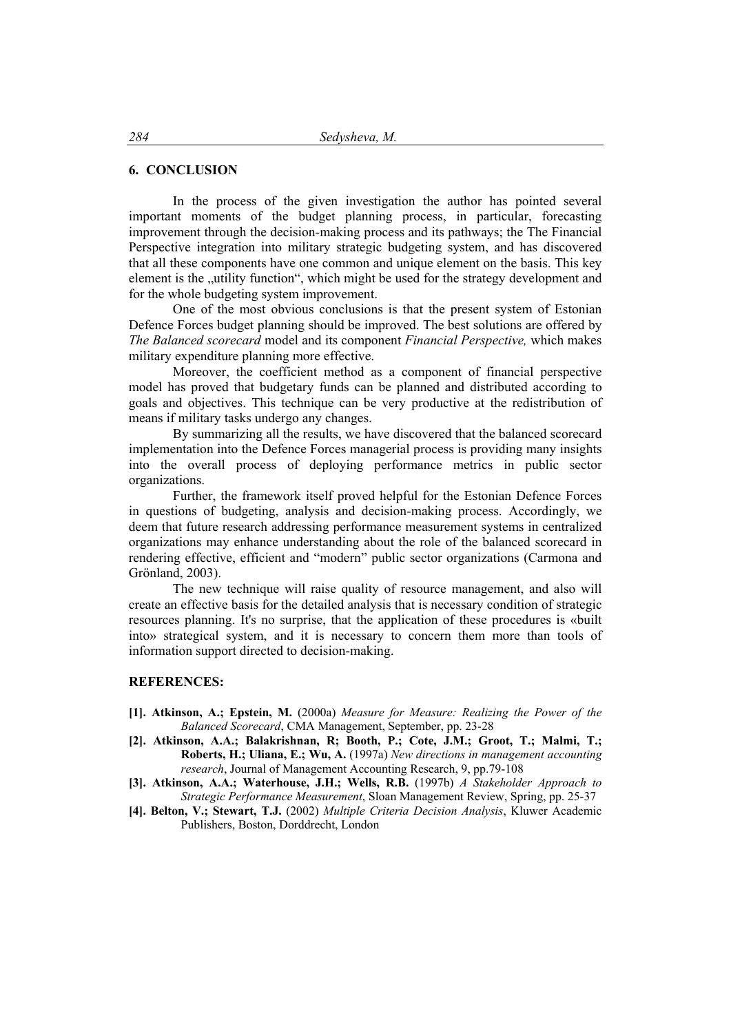### **6. CONCLUSION**

In the process of the given investigation the author has pointed several important moments of the budget planning process, in particular, forecasting improvement through the decision-making process and its pathways; the The Financial Perspective integration into military strategic budgeting system, and has discovered that all these components have one common and unique element on the basis. This key element is the "utility function", which might be used for the strategy development and for the whole budgeting system improvement.

One of the most obvious conclusions is that the present system of Estonian Defence Forces budget planning should be improved. The best solutions are offered by *The Balanced scorecard* model and its component *Financial Perspective,* which makes military expenditure planning more effective.

Moreover, the coefficient method as a component of financial perspective model has proved that budgetary funds can be planned and distributed according to goals and objectives. This technique can be very productive at the redistribution of means if military tasks undergo any changes.

By summarizing all the results, we have discovered that the balanced scorecard implementation into the Defence Forces managerial process is providing many insights into the overall process of deploying performance metrics in public sector organizations.

Further, the framework itself proved helpful for the Estonian Defence Forces in questions of budgeting, analysis and decision-making process. Accordingly, we deem that future research addressing performance measurement systems in centralized organizations may enhance understanding about the role of the balanced scorecard in rendering effective, efficient and "modern" public sector organizations (Carmona and Grönland, 2003).

The new technique will raise quality of resource management, and also will create an effective basis for the detailed analysis that is necessary condition of strategic resources planning. It's no surprise, that the application of these procedures is «built into» strategical system, and it is necessary to concern them more than tools of information support directed to decision-making.

#### **REFERENCES:**

- **[1]. Atkinson, A.; Epstein, M.** (2000a) *Measure for Measure: Realizing the Power of the Balanced Scorecard*, CMA Management, September, pp. 23-28
- **[2]. Atkinson, A.A.; Balakrishnan, R; Booth, P.; Cote, J.M.; Groot, T.; Malmi, T.; Roberts, H.; Uliana, E.; Wu, A.** (1997a) *New directions in management accounting research*, Journal of Management Accounting Research, 9, pp.79-108
- **[3]. Atkinson, A.A.; Waterhouse, J.H.; Wells, R.B.** (1997b) *A Stakeholder Approach to Strategic Performance Measurement*, Sloan Management Review, Spring, pp. 25-37
- **[4]. Belton, V.; Stewart, T.J.** (2002) *Multiple Criteria Decision Analysis*, Kluwer Academic Publishers, Boston, Dorddrecht, London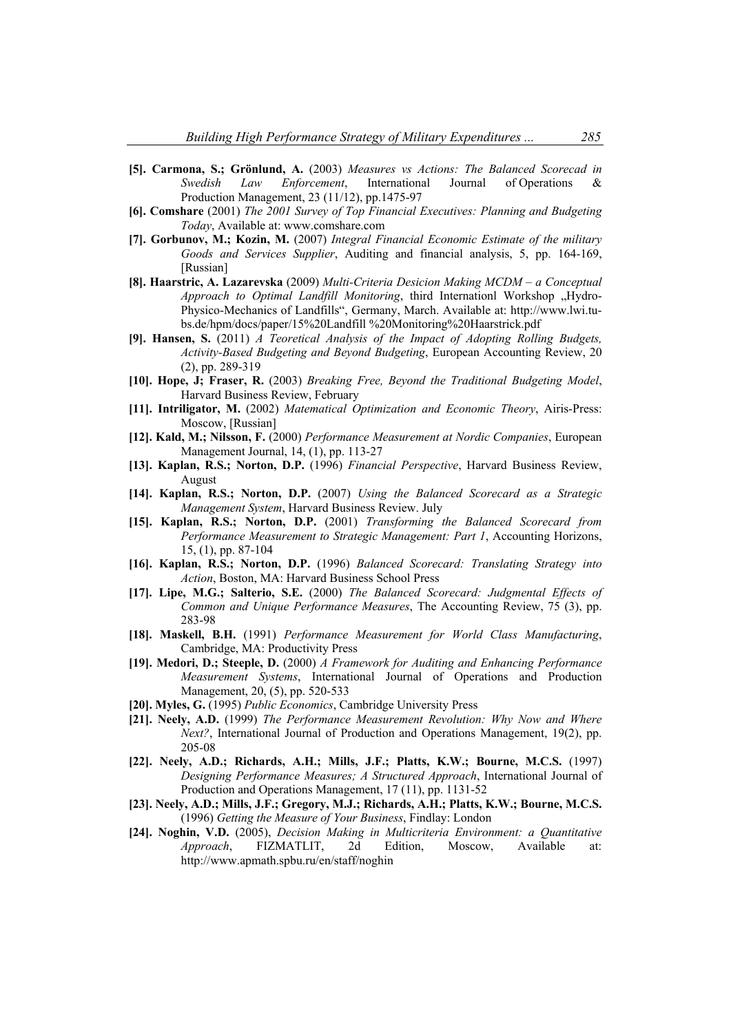- **[5]. Carmona, S.; Grönlund, A.** (2003) *Measures vs Actions: The Balanced Scorecad in Swedish Law Enforcement*, International Journal of Operations & Production Management, 23 (11/12), pp.1475-97
- **[6]. Comshare** (2001) *The 2001 Survey of Top Financial Executives: Planning and Budgeting Today*, Available at: www.comshare.com
- **[7]. Gorbunov, M.; Kozin, M.** (2007) *Integral Financial Economic Estimate of the military Goods and Services Supplier*, Auditing and financial analysis, 5, pp. 164-169, [Russian]
- **[8]. Haarstric, A. Lazarevska** (2009) *Multi-Criteria Desicion Making MCDM a Conceptual Approach to Optimal Landfill Monitoring*, third Internationl Workshop "Hydro-Physico-Mechanics of Landfills", Germany, March. Available at: http://www.lwi.tubs.de/hpm/docs/paper/15%20Landfill %20Monitoring%20Haarstrick.pdf
- **[9]. Hansen, S.** (2011) *A Teoretical Analysis of the Impact of Adopting Rolling Budgets, Activity-Based Budgeting and Beyond Budgeting*, European Accounting Review, 20 (2), pp. 289-319
- **[10]. Hope, J; Fraser, R.** (2003) *Breaking Free, Beyond the Traditional Budgeting Model*, Harvard Business Review, February
- **[11]. Intriligator, M.** (2002) *Matematical Optimization and Economic Theory*, Airis-Press: Moscow, [Russian]
- **[12]. Kald, M.; Nilsson, F.** (2000) *Performance Measurement at Nordic Companies*, European Management Journal, 14, (1), pp. 113-27
- **[13]. Kaplan, R.S.; Norton, D.P.** (1996) *Financial Perspective*, Harvard Business Review, August
- **[14]. Kaplan, R.S.; Norton, D.P.** (2007) *Using the Balanced Scorecard as a Strategic Management System*, Harvard Business Review. July
- **[15]. Kaplan, R.S.; Norton, D.P.** (2001) *Transforming the Balanced Scorecard from Performance Measurement to Strategic Management: Part 1*, Accounting Horizons, 15, (1), pp. 87-104
- **[16]. Kaplan, R.S.; Norton, D.P.** (1996) *Balanced Scorecard: Translating Strategy into Action*, Boston, MA: Harvard Business School Press
- **[17]. Lipe, M.G.; Salterio, S.E.** (2000) *The Balanced Scorecard: Judgmental Effects of Common and Unique Performance Measures*, The Accounting Review, 75 (3), pp. 283-98
- **[18]. Maskell, B.H.** (1991) *Performance Measurement for World Class Manufacturing*, Cambridge, MA: Productivity Press
- **[19]. Medori, D.; Steeple, D.** (2000) *A Framework for Auditing and Enhancing Performance Measurement Systems*, International Journal of Operations and Production Management, 20, (5), pp. 520-533
- **[20]. Myles, G.** (1995) *Public Economics*, Cambridge University Press
- **[21]. Neely, A.D.** (1999) *The Performance Measurement Revolution: Why Now and Where Next?*, International Journal of Production and Operations Management, 19(2), pp. 205-08
- **[22]. Neely, A.D.; Richards, A.H.; Mills, J.F.; Platts, K.W.; Bourne, M.C.S.** (1997) *Designing Performance Measures; A Structured Approach*, International Journal of Production and Operations Management, 17 (11), pp. 1131-52
- **[23]. Neely, A.D.; Mills, J.F.; Gregory, M.J.; Richards, A.H.; Platts, K.W.; Bourne, M.C.S.**  (1996) *Getting the Measure of Your Business*, Findlay: London
- **[24]. Noghin, V.D.** (2005), *Decision Making in Multicriteria Environment: a Quantitative Approach*, FIZMATLIT, 2d Edition, Moscow, Available at: http://www.apmath.spbu.ru/en/staff/noghin